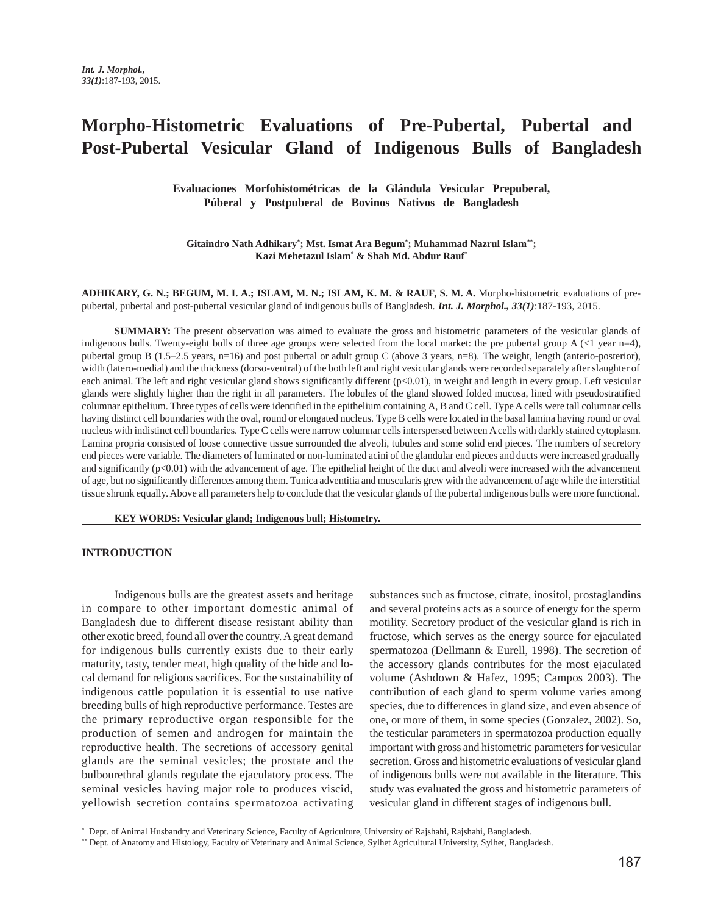# **Morpho-Histometric Evaluations of Pre-Pubertal, Pubertal and Post-Pubertal Vesicular Gland of Indigenous Bulls of Bangladesh**

**Evaluaciones Morfohistométricas de la Glándula Vesicular Prepuberal, Púberal y Postpuberal de Bovinos Nativos de Bangladesh**

Gitaindro Nath Adhikary\*; Mst. Ismat Ara Begum\*; Muhammad Nazrul Islam\*\*; **Kazi Mehetazul Islam\* & Shah Md. Abdur Rauf\***

**ADHIKARY, G. N.; BEGUM, M. I. A.; ISLAM, M. N.; ISLAM, K. M. & RAUF, S. M. A.** Morpho-histometric evaluations of prepubertal, pubertal and post-pubertal vesicular gland of indigenous bulls of Bangladesh. *Int. J. Morphol., 33(1)*:187-193, 2015.

**SUMMARY:** The present observation was aimed to evaluate the gross and histometric parameters of the vesicular glands of indigenous bulls. Twenty-eight bulls of three age groups were selected from the local market: the pre pubertal group A (<1 year n=4), pubertal group B (1.5–2.5 years, n=16) and post pubertal or adult group C (above 3 years, n=8). The weight, length (anterio-posterior), width (latero-medial) and the thickness (dorso-ventral) of the both left and right vesicular glands were recorded separately after slaughter of each animal. The left and right vesicular gland shows significantly different (p<0.01), in weight and length in every group. Left vesicular glands were slightly higher than the right in all parameters. The lobules of the gland showed folded mucosa, lined with pseudostratified columnar epithelium. Three types of cells were identified in the epithelium containing A, B and C cell. Type A cells were tall columnar cells having distinct cell boundaries with the oval, round or elongated nucleus. Type B cells were located in the basal lamina having round or oval nucleus with indistinct cell boundaries. Type C cells were narrow columnar cells interspersed between A cells with darkly stained cytoplasm. Lamina propria consisted of loose connective tissue surrounded the alveoli, tubules and some solid end pieces. The numbers of secretory end pieces were variable. The diameters of luminated or non-luminated acini of the glandular end pieces and ducts were increased gradually and significantly  $(p<0.01)$  with the advancement of age. The epithelial height of the duct and alveoli were increased with the advancement of age, but no significantly differences among them. Tunica adventitia and muscularis grew with the advancement of age while the interstitial tissue shrunk equally. Above all parameters help to conclude that the vesicular glands of the pubertal indigenous bulls were more functional.

**KEY WORDS: Vesicular gland; Indigenous bull; Histometry.**

## **INTRODUCTION**

Indigenous bulls are the greatest assets and heritage in compare to other important domestic animal of Bangladesh due to different disease resistant ability than other exotic breed, found all over the country. A great demand for indigenous bulls currently exists due to their early maturity, tasty, tender meat, high quality of the hide and local demand for religious sacrifices. For the sustainability of indigenous cattle population it is essential to use native breeding bulls of high reproductive performance. Testes are the primary reproductive organ responsible for the production of semen and androgen for maintain the reproductive health. The secretions of accessory genital glands are the seminal vesicles; the prostate and the bulbourethral glands regulate the ejaculatory process. The seminal vesicles having major role to produces viscid, yellowish secretion contains spermatozoa activating substances such as fructose, citrate, inositol, prostaglandins and several proteins acts as a source of energy for the sperm motility. Secretory product of the vesicular gland is rich in fructose, which serves as the energy source for ejaculated spermatozoa (Dellmann & Eurell, 1998). The secretion of the accessory glands contributes for the most ejaculated volume (Ashdown & Hafez, 1995; Campos 2003). The contribution of each gland to sperm volume varies among species, due to differences in gland size, and even absence of one, or more of them, in some species (Gonzalez, 2002). So, the testicular parameters in spermatozoa production equally important with gross and histometric parameters for vesicular secretion. Gross and histometric evaluations of vesicular gland of indigenous bulls were not available in the literature. This study was evaluated the gross and histometric parameters of vesicular gland in different stages of indigenous bull.

<sup>\*</sup> Dept. of Animal Husbandry and Veterinary Science, Faculty of Agriculture, University of Rajshahi, Rajshahi, Bangladesh.

<sup>\*\*</sup> Dept. of Anatomy and Histology, Faculty of Veterinary and Animal Science, Sylhet Agricultural University, Sylhet, Bangladesh.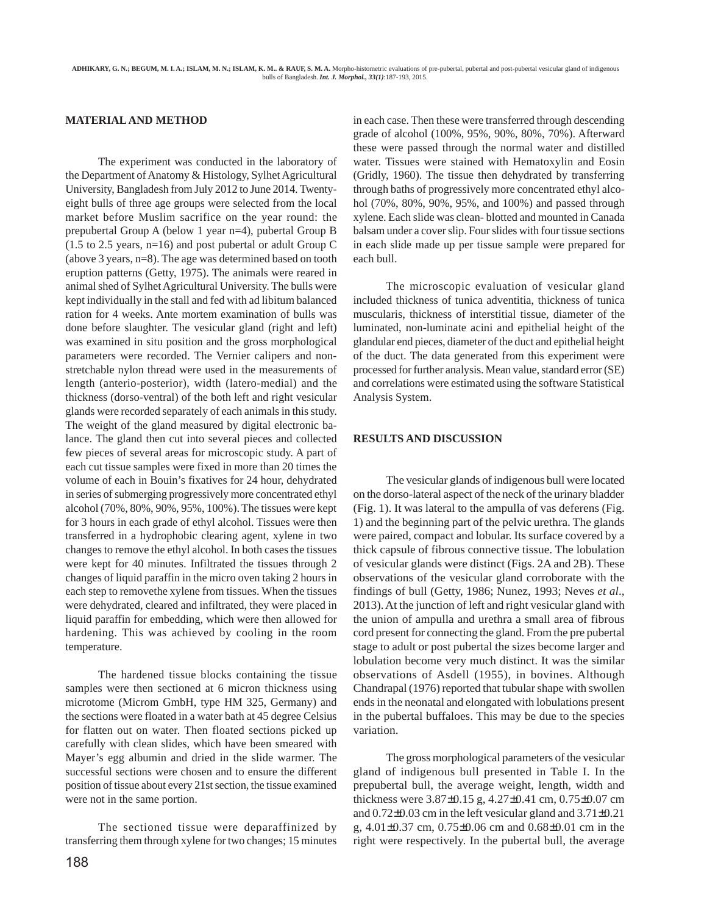### **MATERIAL AND METHOD**

The experiment was conducted in the laboratory of the Department of Anatomy & Histology, Sylhet Agricultural University, Bangladesh from July 2012 to June 2014. Twentyeight bulls of three age groups were selected from the local market before Muslim sacrifice on the year round: the prepubertal Group A (below 1 year n=4), pubertal Group B (1.5 to 2.5 years, n=16) and post pubertal or adult Group C (above 3 years, n=8). The age was determined based on tooth eruption patterns (Getty, 1975). The animals were reared in animal shed of Sylhet Agricultural University. The bulls were kept individually in the stall and fed with ad libitum balanced ration for 4 weeks. Ante mortem examination of bulls was done before slaughter. The vesicular gland (right and left) was examined in situ position and the gross morphological parameters were recorded. The Vernier calipers and nonstretchable nylon thread were used in the measurements of length (anterio-posterior), width (latero-medial) and the thickness (dorso-ventral) of the both left and right vesicular glands were recorded separately of each animals in this study. The weight of the gland measured by digital electronic balance. The gland then cut into several pieces and collected few pieces of several areas for microscopic study. A part of each cut tissue samples were fixed in more than 20 times the volume of each in Bouin's fixatives for 24 hour, dehydrated in series of submerging progressively more concentrated ethyl alcohol (70%, 80%, 90%, 95%, 100%). The tissues were kept for 3 hours in each grade of ethyl alcohol. Tissues were then transferred in a hydrophobic clearing agent, xylene in two changes to remove the ethyl alcohol. In both cases the tissues were kept for 40 minutes. Infiltrated the tissues through 2 changes of liquid paraffin in the micro oven taking 2 hours in each step to removethe xylene from tissues. When the tissues were dehydrated, cleared and infiltrated, they were placed in liquid paraffin for embedding, which were then allowed for hardening. This was achieved by cooling in the room temperature.

The hardened tissue blocks containing the tissue samples were then sectioned at 6 micron thickness using microtome (Microm GmbH, type HM 325, Germany) and the sections were floated in a water bath at 45 degree Celsius for flatten out on water. Then floated sections picked up carefully with clean slides, which have been smeared with Mayer's egg albumin and dried in the slide warmer. The successful sections were chosen and to ensure the different position of tissue about every 21st section, the tissue examined were not in the same portion.

The sectioned tissue were deparaffinized by transferring them through xylene for two changes; 15 minutes

188

in each case. Then these were transferred through descending grade of alcohol (100%, 95%, 90%, 80%, 70%). Afterward these were passed through the normal water and distilled water. Tissues were stained with Hematoxylin and Eosin (Gridly, 1960). The tissue then dehydrated by transferring through baths of progressively more concentrated ethyl alcohol (70%, 80%, 90%, 95%, and 100%) and passed through xylene. Each slide was clean- blotted and mounted in Canada balsam under a cover slip. Four slides with four tissue sections in each slide made up per tissue sample were prepared for each bull.

The microscopic evaluation of vesicular gland included thickness of tunica adventitia, thickness of tunica muscularis, thickness of interstitial tissue, diameter of the luminated, non-luminate acini and epithelial height of the glandular end pieces, diameter of the duct and epithelial height of the duct. The data generated from this experiment were processed for further analysis. Mean value, standard error (SE) and correlations were estimated using the software Statistical Analysis System.

#### **RESULTS AND DISCUSSION**

The vesicular glands of indigenous bull were located on the dorso-lateral aspect of the neck of the urinary bladder (Fig. 1). It was lateral to the ampulla of vas deferens (Fig. 1) and the beginning part of the pelvic urethra. The glands were paired, compact and lobular. Its surface covered by a thick capsule of fibrous connective tissue. The lobulation of vesicular glands were distinct (Figs. 2A and 2B). These observations of the vesicular gland corroborate with the findings of bull (Getty, 1986; Nunez, 1993; Neves *et al*., 2013). At the junction of left and right vesicular gland with the union of ampulla and urethra a small area of fibrous cord present for connecting the gland. From the pre pubertal stage to adult or post pubertal the sizes become larger and lobulation become very much distinct. It was the similar observations of Asdell (1955), in bovines. Although Chandrapal (1976) reported that tubular shape with swollen ends in the neonatal and elongated with lobulations present in the pubertal buffaloes. This may be due to the species variation.

The gross morphological parameters of the vesicular gland of indigenous bull presented in Table I. In the prepubertal bull, the average weight, length, width and thickness were 3.87±0.15 g, 4.27±0.41 cm, 0.75±0.07 cm and 0.72±0.03 cm in the left vesicular gland and 3.71±0.21 g, 4.01±0.37 cm, 0.75±0.06 cm and 0.68±0.01 cm in the right were respectively. In the pubertal bull, the average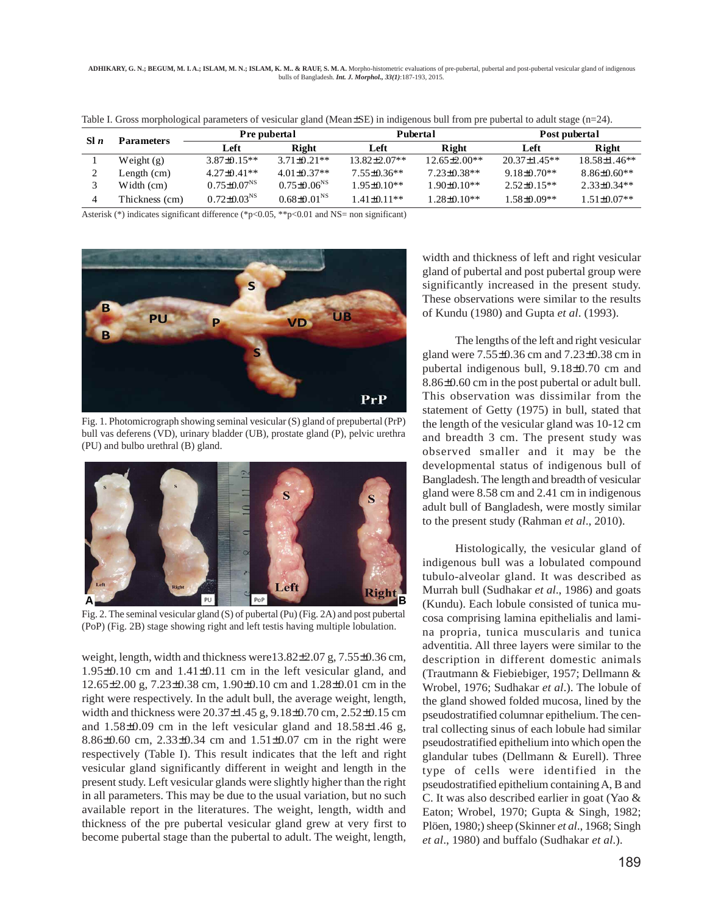**ADHIKARY, G. N.; BEGUM, M. I. A.; ISLAM, M. N.; ISLAM, K. M.. & RAUF, S. M. A.** Morpho-histometric evaluations of pre-pubertal, pubertal and post-pubertal vesicular gland of indigenous bulls of Bangladesh. *Int. J. Morphol., 33(1)*:187-193, 2015.

| S1n | <b>Parameters</b> | <b>Pre pubertal</b>           |                             | Pubertal           |                    | Post pubertal    |                   |
|-----|-------------------|-------------------------------|-----------------------------|--------------------|--------------------|------------------|-------------------|
|     |                   | Left                          | Right                       | Left               | Right              | Left             | Right             |
|     | Weight $(g)$      | $3.87 + 0.15**$               | $3.71\pm0.21**$             | $13.82 \pm 2.07**$ | $12.65 \pm 2.00**$ | $20.37 + 1.45**$ | $18.58\pm1.46**$  |
|     | Length (cm)       | $4.27+0.41**$                 | $4.01\pm0.37**$             | $7.55\pm0.36**$    | $7.23 \pm 0.38**$  | $9.18\pm0.70**$  | $8.86 + 0.60**$   |
|     | Width (cm)        | $0.75 \pm 0.07$ <sup>NS</sup> | $0.75 \pm 0.06^{NS}$        | $1.95 \pm 0.10**$  | 1.90+0.10**        | $2.52+0.15**$    | $2.33+0.34**$     |
|     | Thickness (cm)    | $0.72 \pm 0.03^{NS}$          | $0.68 \pm 0.01^{\text{NS}}$ | $1.41 + 0.11**$    | 1.28±0.10**        | 1.58±0.09**      | $1.51 \pm 0.07**$ |

Table I. Gross morphological parameters of vesicular gland (Mean±SE) in indigenous bull from pre pubertal to adult stage (n=24).

Asterisk (\*) indicates significant difference (\*p<0.05, \*\*p<0.01 and NS= non significant)



Fig. 1. Photomicrograph showing seminal vesicular (S) gland of prepubertal (PrP) bull vas deferens (VD), urinary bladder (UB), prostate gland (P), pelvic urethra (PU) and bulbo urethral (B) gland.



Fig. 2. The seminal vesicular gland (S) of pubertal (Pu) (Fig. 2A) and post pubertal (PoP) (Fig. 2B) stage showing right and left testis having multiple lobulation.

weight, length, width and thickness were13.82±2.07 g, 7.55±0.36 cm, 1.95±0.10 cm and 1.41±0.11 cm in the left vesicular gland, and 12.65±2.00 g, 7.23±0.38 cm, 1.90±0.10 cm and 1.28±0.01 cm in the right were respectively. In the adult bull, the average weight, length, width and thickness were 20.37±1.45 g, 9.18±0.70 cm, 2.52±0.15 cm and 1.58±0.09 cm in the left vesicular gland and 18.58±1.46 g, 8.86±0.60 cm, 2.33±0.34 cm and 1.51±0.07 cm in the right were respectively (Table I). This result indicates that the left and right vesicular gland significantly different in weight and length in the present study. Left vesicular glands were slightly higher than the right in all parameters. This may be due to the usual variation, but no such available report in the literatures. The weight, length, width and thickness of the pre pubertal vesicular gland grew at very first to become pubertal stage than the pubertal to adult. The weight, length,

width and thickness of left and right vesicular gland of pubertal and post pubertal group were significantly increased in the present study. These observations were similar to the results of Kundu (1980) and Gupta *et al*. (1993).

The lengths of the left and right vesicular gland were 7.55±0.36 cm and 7.23±0.38 cm in pubertal indigenous bull, 9.18±0.70 cm and 8.86±0.60 cm in the post pubertal or adult bull. This observation was dissimilar from the statement of Getty (1975) in bull, stated that the length of the vesicular gland was 10-12 cm and breadth 3 cm. The present study was observed smaller and it may be the developmental status of indigenous bull of Bangladesh. The length and breadth of vesicular gland were 8.58 cm and 2.41 cm in indigenous adult bull of Bangladesh, were mostly similar to the present study (Rahman *et al*., 2010).

Histologically, the vesicular gland of indigenous bull was a lobulated compound tubulo-alveolar gland. It was described as Murrah bull (Sudhakar *et al*., 1986) and goats (Kundu). Each lobule consisted of tunica mucosa comprising lamina epithelialis and lamina propria, tunica muscularis and tunica adventitia. All three layers were similar to the description in different domestic animals (Trautmann & Fiebiebiger, 1957; Dellmann & Wrobel, 1976; Sudhakar *et al*.). The lobule of the gland showed folded mucosa, lined by the pseudostratified columnar epithelium. The central collecting sinus of each lobule had similar pseudostratified epithelium into which open the glandular tubes (Dellmann & Eurell). Three type of cells were identified in the pseudostratified epithelium containing A, B and C. It was also described earlier in goat (Yao & Eaton; Wrobel, 1970; Gupta & Singh, 1982; Plöen, 1980;) sheep (Skinner *et al*., 1968; Singh *et al*., 1980) and buffalo (Sudhakar *et al*.).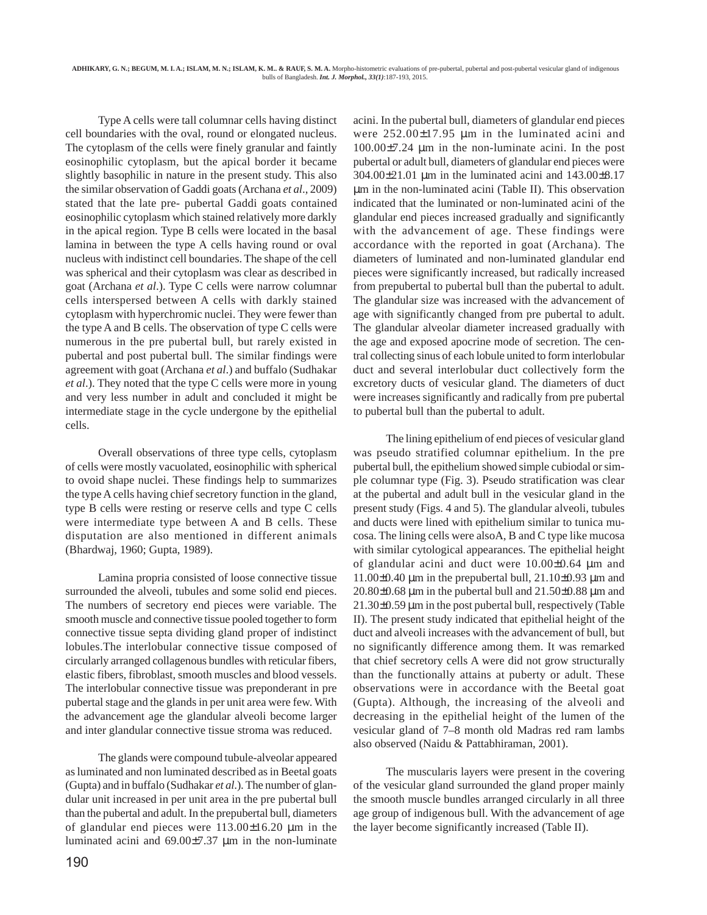Type A cells were tall columnar cells having distinct cell boundaries with the oval, round or elongated nucleus. The cytoplasm of the cells were finely granular and faintly eosinophilic cytoplasm, but the apical border it became slightly basophilic in nature in the present study. This also the similar observation of Gaddi goats (Archana *et al*., 2009) stated that the late pre- pubertal Gaddi goats contained eosinophilic cytoplasm which stained relatively more darkly in the apical region. Type B cells were located in the basal lamina in between the type A cells having round or oval nucleus with indistinct cell boundaries. The shape of the cell was spherical and their cytoplasm was clear as described in goat (Archana *et al*.). Type C cells were narrow columnar cells interspersed between A cells with darkly stained cytoplasm with hyperchromic nuclei. They were fewer than the type A and B cells. The observation of type C cells were numerous in the pre pubertal bull, but rarely existed in pubertal and post pubertal bull. The similar findings were agreement with goat (Archana *et al*.) and buffalo (Sudhakar *et al*.). They noted that the type C cells were more in young and very less number in adult and concluded it might be intermediate stage in the cycle undergone by the epithelial cells.

Overall observations of three type cells, cytoplasm of cells were mostly vacuolated, eosinophilic with spherical to ovoid shape nuclei. These findings help to summarizes the type A cells having chief secretory function in the gland, type B cells were resting or reserve cells and type C cells were intermediate type between A and B cells. These disputation are also mentioned in different animals (Bhardwaj, 1960; Gupta, 1989).

Lamina propria consisted of loose connective tissue surrounded the alveoli, tubules and some solid end pieces. The numbers of secretory end pieces were variable. The smooth muscle and connective tissue pooled together to form connective tissue septa dividing gland proper of indistinct lobules.The interlobular connective tissue composed of circularly arranged collagenous bundles with reticular fibers, elastic fibers, fibroblast, smooth muscles and blood vessels. The interlobular connective tissue was preponderant in pre pubertal stage and the glands in per unit area were few. With the advancement age the glandular alveoli become larger and inter glandular connective tissue stroma was reduced.

The glands were compound tubule-alveolar appeared as luminated and non luminated described as in Beetal goats (Gupta) and in buffalo (Sudhakar *et al*.). The number of glandular unit increased in per unit area in the pre pubertal bull than the pubertal and adult. In the prepubertal bull, diameters of glandular end pieces were 113.00±16.20 µm in the luminated acini and 69.00±7.37 µm in the non-luminate

acini. In the pubertal bull, diameters of glandular end pieces were 252.00±17.95 µm in the luminated acini and 100.00±7.24 µm in the non-luminate acini. In the post pubertal or adult bull, diameters of glandular end pieces were 304.00±21.01 µm in the luminated acini and 143.00±8.17 µm in the non-luminated acini (Table II). This observation indicated that the luminated or non-luminated acini of the glandular end pieces increased gradually and significantly with the advancement of age. These findings were accordance with the reported in goat (Archana). The diameters of luminated and non-luminated glandular end pieces were significantly increased, but radically increased from prepubertal to pubertal bull than the pubertal to adult. The glandular size was increased with the advancement of age with significantly changed from pre pubertal to adult. The glandular alveolar diameter increased gradually with the age and exposed apocrine mode of secretion. The central collecting sinus of each lobule united to form interlobular duct and several interlobular duct collectively form the excretory ducts of vesicular gland. The diameters of duct were increases significantly and radically from pre pubertal to pubertal bull than the pubertal to adult.

The lining epithelium of end pieces of vesicular gland was pseudo stratified columnar epithelium. In the pre pubertal bull, the epithelium showed simple cubiodal or simple columnar type (Fig. 3). Pseudo stratification was clear at the pubertal and adult bull in the vesicular gland in the present study (Figs. 4 and 5). The glandular alveoli, tubules and ducts were lined with epithelium similar to tunica mucosa. The lining cells were alsoA, B and C type like mucosa with similar cytological appearances. The epithelial height of glandular acini and duct were 10.00±0.64 µm and 11.00 $\pm$ 0.40 µm in the prepubertal bull, 21.10 $\pm$ 0.93 µm and  $20.80\pm0.68$  µm in the pubertal bull and  $21.50\pm0.88$  µm and 21.30±0.59 µm in the post pubertal bull, respectively (Table II). The present study indicated that epithelial height of the duct and alveoli increases with the advancement of bull, but no significantly difference among them. It was remarked that chief secretory cells A were did not grow structurally than the functionally attains at puberty or adult. These observations were in accordance with the Beetal goat (Gupta). Although, the increasing of the alveoli and decreasing in the epithelial height of the lumen of the vesicular gland of 7–8 month old Madras red ram lambs also observed (Naidu & Pattabhiraman, 2001).

The muscularis layers were present in the covering of the vesicular gland surrounded the gland proper mainly the smooth muscle bundles arranged circularly in all three age group of indigenous bull. With the advancement of age the layer become significantly increased (Table II).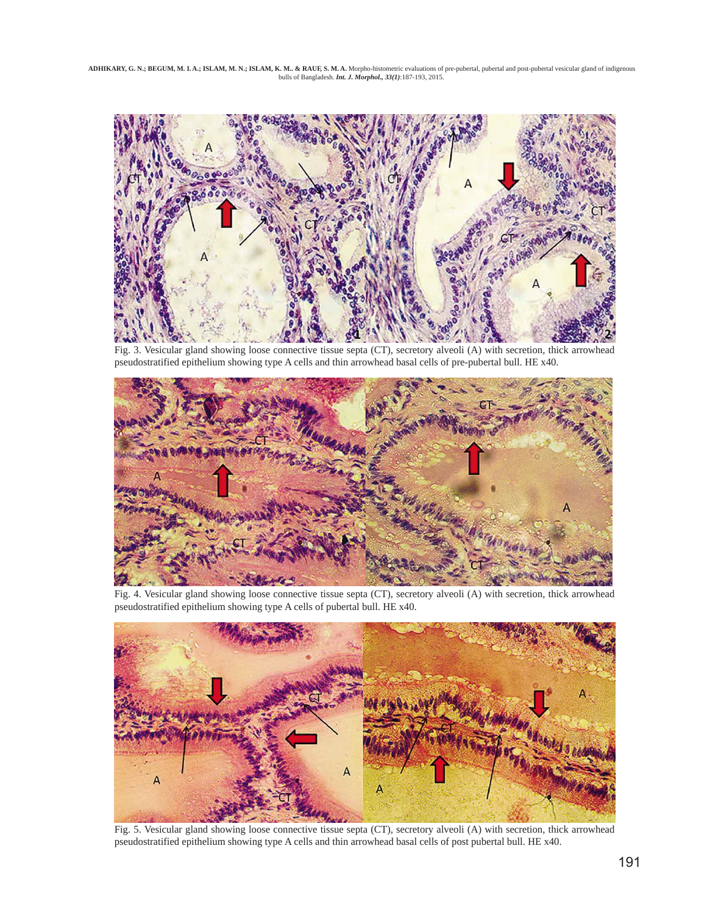ADHIKARY, G. N.; BEGUM, M. I.A.; ISLAM, M. N.; ISLAM, K. M.. & RAUF, S. M. A. Morpho-histometric evaluations of pre-pubertal, pubertal and post-pubertal vesicular gland of indigenous<br>bulls of Bangladesh. Int. J. Morphol.,



Fig. 3. Vesicular gland showing loose connective tissue septa (CT), secretory alveoli (A) with secretion, thick arrowhead pseudostratified epithelium showing type A cells and thin arrowhead basal cells of pre-pubertal bull. HE x40.



Fig. 4. Vesicular gland showing loose connective tissue septa (CT), secretory alveoli (A) with secretion, thick arrowhead pseudostratified epithelium showing type A cells of pubertal bull. HE x40.



Fig. 5. Vesicular gland showing loose connective tissue septa (CT), secretory alveoli (A) with secretion, thick arrowhead pseudostratified epithelium showing type A cells and thin arrowhead basal cells of post pubertal bull. HE x40.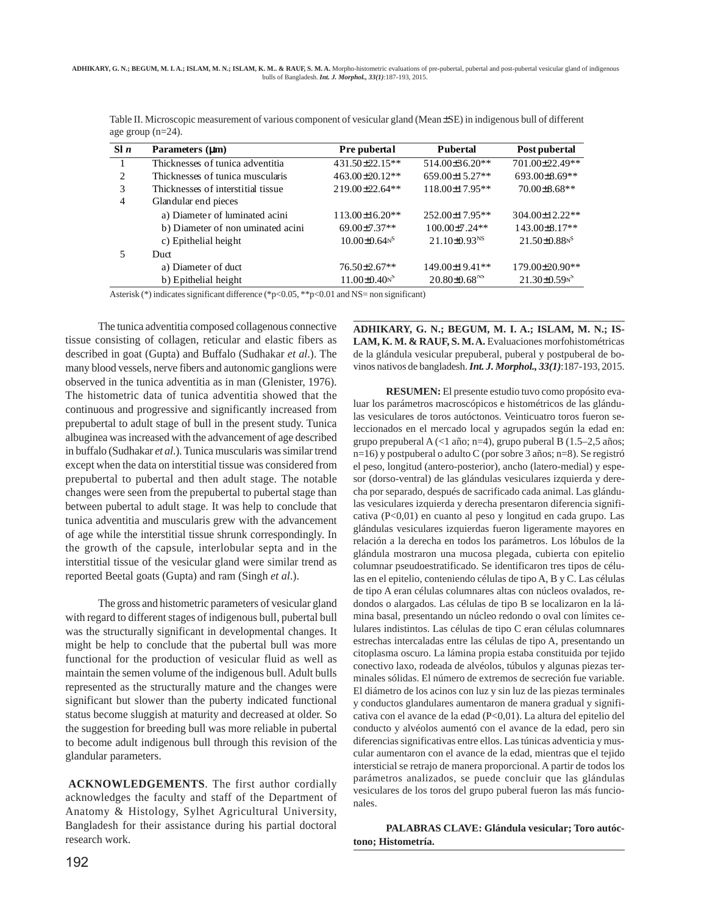| S1n | Parameters $(\mu m)$               | Pre pubertal                   | <b>Pubertal</b>                | Post pubertal<br>701.00±22.49** |  |  |  |  |
|-----|------------------------------------|--------------------------------|--------------------------------|---------------------------------|--|--|--|--|
|     | Thicknesses of tunica adventitia   | 431.50±22.15**                 | 514.00±36.20**                 |                                 |  |  |  |  |
| 2   | Thicknesses of tunica muscularis   | $463.00 \pm 20.12**$           | 659.00±15.27**                 | 693.00±8.69**                   |  |  |  |  |
| 3   | Thicknesses of interstitial tissue | $219.00 \pm 22.64$ **          | $118.00 \pm 17.95**$           | 70.00±8.68**                    |  |  |  |  |
| 4   | Glandular end pieces               |                                |                                |                                 |  |  |  |  |
|     | a) Diameter of luminated acini     | 113.00±16.20**                 | 252.00±17.95**                 | 304.00±12.22**                  |  |  |  |  |
|     | b) Diameter of non uminated acini  | 69.00±7.37**                   | 100.00±7.24**                  | 143.00±8.17**                   |  |  |  |  |
|     | c) Epithelial height               | $10.00 \pm 0.64$ <sup>NS</sup> | $21.10\pm0.93^{NS}$            | $21.50 \pm 0.88$ <sup>NS</sup>  |  |  |  |  |
|     | Duct.                              |                                |                                |                                 |  |  |  |  |
|     | a) Diameter of duct                | $76.50 \pm 2.67$ **            | 149.00±19.41**                 | 179.00±20.90**                  |  |  |  |  |
|     | b) Epithelial height               | $11.00 \pm 0.40$ <sup>S</sup>  | $20.80 \pm 0.68$ <sup>NS</sup> | $21.30\pm0.598$                 |  |  |  |  |

Table II. Microscopic measurement of various component of vesicular gland (Mean±SE) in indigenous bull of different age group  $(n-24)$ .

Asterisk (\*) indicates significant difference (\*p<0.05, \*\*p<0.01 and NS= non significant)

The tunica adventitia composed collagenous connective tissue consisting of collagen, reticular and elastic fibers as described in goat (Gupta) and Buffalo (Sudhakar *et al*.). The many blood vessels, nerve fibers and autonomic ganglions were observed in the tunica adventitia as in man (Glenister, 1976). The histometric data of tunica adventitia showed that the continuous and progressive and significantly increased from prepubertal to adult stage of bull in the present study. Tunica albuginea was increased with the advancement of age described in buffalo (Sudhakar *et al*.). Tunica muscularis was similar trend except when the data on interstitial tissue was considered from prepubertal to pubertal and then adult stage. The notable changes were seen from the prepubertal to pubertal stage than between pubertal to adult stage. It was help to conclude that tunica adventitia and muscularis grew with the advancement of age while the interstitial tissue shrunk correspondingly. In the growth of the capsule, interlobular septa and in the interstitial tissue of the vesicular gland were similar trend as reported Beetal goats (Gupta) and ram (Singh *et al*.).

The gross and histometric parameters of vesicular gland with regard to different stages of indigenous bull, pubertal bull was the structurally significant in developmental changes. It might be help to conclude that the pubertal bull was more functional for the production of vesicular fluid as well as maintain the semen volume of the indigenous bull. Adult bulls represented as the structurally mature and the changes were significant but slower than the puberty indicated functional status become sluggish at maturity and decreased at older. So the suggestion for breeding bull was more reliable in pubertal to become adult indigenous bull through this revision of the glandular parameters.

**ACKNOWLEDGEMENTS**. The first author cordially acknowledges the faculty and staff of the Department of Anatomy & Histology, Sylhet Agricultural University, Bangladesh for their assistance during his partial doctoral research work.

**ADHIKARY, G. N.; BEGUM, M. I. A.; ISLAM, M. N.; IS-LAM, K. M. & RAUF, S. M. A.** Evaluaciones morfohistométricas de la glándula vesicular prepuberal, puberal y postpuberal de bovinos nativos de bangladesh. *Int. J. Morphol., 33(1)*:187-193, 2015.

**RESUMEN:** El presente estudio tuvo como propósito evaluar los parámetros macroscópicos e histométricos de las glándulas vesiculares de toros autóctonos. Veinticuatro toros fueron seleccionados en el mercado local y agrupados según la edad en: grupo prepuberal  $A \leq 1$  año; n=4), grupo puberal B (1.5–2,5 años; n=16) y postpuberal o adulto C (por sobre 3 años; n=8). Se registró el peso, longitud (antero-posterior), ancho (latero-medial) y espesor (dorso-ventral) de las glándulas vesiculares izquierda y derecha por separado, después de sacrificado cada animal. Las glándulas vesiculares izquierda y derecha presentaron diferencia significativa (P<0,01) en cuanto al peso y longitud en cada grupo. Las glándulas vesiculares izquierdas fueron ligeramente mayores en relación a la derecha en todos los parámetros. Los lóbulos de la glándula mostraron una mucosa plegada, cubierta con epitelio columnar pseudoestratificado. Se identificaron tres tipos de células en el epitelio, conteniendo células de tipo A, B y C. Las células de tipo A eran células columnares altas con núcleos ovalados, redondos o alargados. Las células de tipo B se localizaron en la lámina basal, presentando un núcleo redondo o oval con límites celulares indistintos. Las células de tipo C eran células columnares estrechas intercaladas entre las células de tipo A, presentando un citoplasma oscuro. La lámina propia estaba constituida por tejido conectivo laxo, rodeada de alvéolos, túbulos y algunas piezas terminales sólidas. El número de extremos de secreción fue variable. El diámetro de los acinos con luz y sin luz de las piezas terminales y conductos glandulares aumentaron de manera gradual y significativa con el avance de la edad (P<0,01). La altura del epitelio del conducto y alvéolos aumentó con el avance de la edad, pero sin diferencias significativas entre ellos. Las túnicas adventicia y muscular aumentaron con el avance de la edad, mientras que el tejido intersticial se retrajo de manera proporcional. A partir de todos los parámetros analizados, se puede concluir que las glándulas vesiculares de los toros del grupo puberal fueron las más funcionales.

**PALABRAS CLAVE: Glándula vesicular; Toro autóctono; Histometría.**